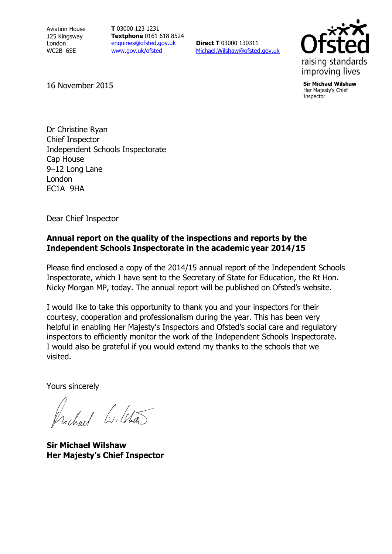Aviation House 125 Kingsway London WC2B 6SE

**T** 03000 123 1231 **Textphone** 0161 618 8524 [enquiries@ofsted.gov.uk](mailto:enquiries@ofsted.gov.uk) www.gov.uk/ofsted

**Direct T** 03000 130311 [Michael.Wilshaw@ofsted.gov.uk](mailto:Michael.Wilshaw@ofsted.gov.uk)



Her Majesty's Chief Inspector

16 November 2015 **Sir Michael Wilshaw**

Dr Christine Ryan Chief Inspector Independent Schools Inspectorate Cap House 9–12 Long Lane London EC1A 9HA

Dear Chief Inspector

## **Annual report on the quality of the inspections and reports by the Independent Schools Inspectorate in the academic year 2014/15**

Please find enclosed a copy of the 2014/15 annual report of the Independent Schools Inspectorate, which I have sent to the Secretary of State for Education, the Rt Hon. Nicky Morgan MP, today. The annual report will be published on Ofsted's website.

I would like to take this opportunity to thank you and your inspectors for their courtesy, cooperation and professionalism during the year. This has been very helpful in enabling Her Majesty's Inspectors and Ofsted's social care and regulatory inspectors to efficiently monitor the work of the Independent Schools Inspectorate. I would also be grateful if you would extend my thanks to the schools that we visited.

Yours sincerely

Vichael Wilsha

**Sir Michael Wilshaw Her Majesty's Chief Inspector**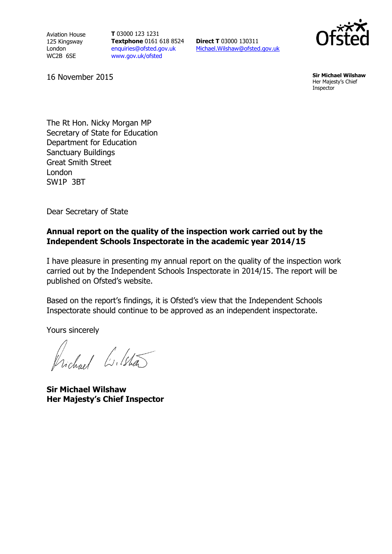Aviation House 125 Kingsway London WC2B 6SE

**T** 03000 123 1231 **Textphone** 0161 618 8524 [enquiries@ofsted.gov.uk](mailto:enquiries@ofsted.gov.uk) [www.gov.uk/ofsted](http://www.gov.uk/ofsted)

**Direct T** 03000 130311 [Michael.Wilshaw@ofsted.gov.uk](mailto:Michael.Wilshaw@ofsted.gov.uk)



16 November 2015 **Sir Michael Wilshaw** Her Majesty's Chief Inspector

The Rt Hon. Nicky Morgan MP Secretary of State for Education Department for Education Sanctuary Buildings Great Smith Street London SW1P 3BT

Dear Secretary of State

#### **Annual report on the quality of the inspection work carried out by the Independent Schools Inspectorate in the academic year 2014/15**

I have pleasure in presenting my annual report on the quality of the inspection work carried out by the Independent Schools Inspectorate in 2014/15. The report will be published on Ofsted's website.

Based on the report's findings, it is Ofsted's view that the Independent Schools Inspectorate should continue to be approved as an independent inspectorate.

Yours sincerely

Vichael Lilstã

**Sir Michael Wilshaw Her Majesty's Chief Inspector**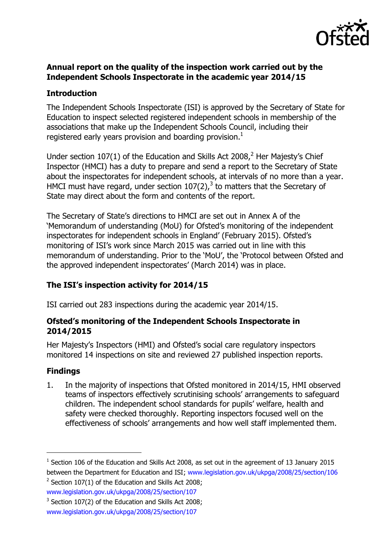

## **Annual report on the quality of the inspection work carried out by the Independent Schools Inspectorate in the academic year 2014/15**

## **Introduction**

The Independent Schools Inspectorate (ISI) is approved by the Secretary of State for Education to inspect selected registered independent schools in membership of the associations that make up the Independent Schools Council, including their registered early years provision and boarding provision.<sup>1</sup>

Under section  $107(1)$  of the Education and Skills Act 2008.<sup>2</sup> Her Maiesty's Chief Inspector (HMCI) has a duty to prepare and send a report to the Secretary of State about the inspectorates for independent schools, at intervals of no more than a year. HMCI must have regard, under section  $107(2)$ , to matters that the Secretary of State may direct about the form and contents of the report.

The Secretary of State's directions to HMCI are set out in Annex A of the 'Memorandum of understanding (MoU) for Ofsted's monitoring of the independent inspectorates for independent schools in England' (February 2015). Ofsted's monitoring of ISI's work since March 2015 was carried out in line with this memorandum of understanding. Prior to the 'MoU', the 'Protocol between Ofsted and the approved independent inspectorates' (March 2014) was in place.

# **The ISI's inspection activity for 2014/15**

ISI carried out 283 inspections during the academic year 2014/15.

### **Ofsted's monitoring of the Independent Schools Inspectorate in 2014/2015**

Her Majesty's Inspectors (HMI) and Ofsted's social care regulatory inspectors monitored 14 inspections on site and reviewed 27 published inspection reports.

### **Findings**

 $\overline{a}$ 

1. In the majority of inspections that Ofsted monitored in 2014/15, HMI observed teams of inspectors effectively scrutinising schools' arrangements to safeguard children. The independent school standards for pupils' welfare, health and safety were checked thoroughly. Reporting inspectors focused well on the effectiveness of schools' arrangements and how well staff implemented them.

[www.legislation.gov.uk/ukpga/2008/25/section/107](http://www.legislation.gov.uk/ukpga/2008/25/section/107)

 $^1$  Section 106 of the Education and Skills Act 2008, as set out in the agreement of 13 January 2015 between the Department for Education and ISI; [www.legislation.gov.uk/ukpga/2008/25/section/106](http://www.legislation.gov.uk/ukpga/2008/25/section/106)  $2$  Section 107(1) of the Education and Skills Act 2008;

 $3$  Section 107(2) of the Education and Skills Act 2008;

[www.legislation.gov.uk/ukpga/2008/25/section/107](http://www.legislation.gov.uk/ukpga/2008/25/section/107)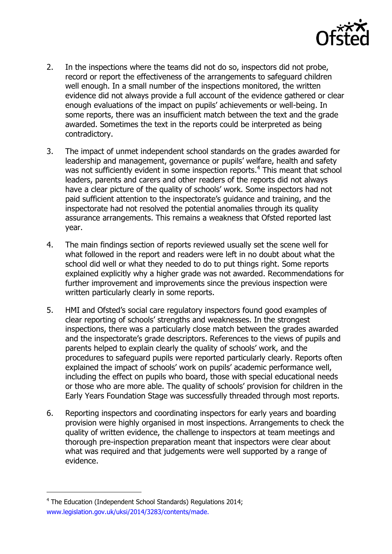

- 2. In the inspections where the teams did not do so, inspectors did not probe, record or report the effectiveness of the arrangements to safeguard children well enough. In a small number of the inspections monitored, the written evidence did not always provide a full account of the evidence gathered or clear enough evaluations of the impact on pupils' achievements or well-being. In some reports, there was an insufficient match between the text and the grade awarded. Sometimes the text in the reports could be interpreted as being contradictory.
- 3. The impact of unmet independent school standards on the grades awarded for leadership and management, governance or pupils' welfare, health and safety was not sufficiently evident in some inspection reports.<sup>4</sup> This meant that school leaders, parents and carers and other readers of the reports did not always have a clear picture of the quality of schools' work. Some inspectors had not paid sufficient attention to the inspectorate's guidance and training, and the inspectorate had not resolved the potential anomalies through its quality assurance arrangements. This remains a weakness that Ofsted reported last year.
- 4. The main findings section of reports reviewed usually set the scene well for what followed in the report and readers were left in no doubt about what the school did well or what they needed to do to put things right. Some reports explained explicitly why a higher grade was not awarded. Recommendations for further improvement and improvements since the previous inspection were written particularly clearly in some reports.
- 5. HMI and Ofsted's social care regulatory inspectors found good examples of clear reporting of schools' strengths and weaknesses. In the strongest inspections, there was a particularly close match between the grades awarded and the inspectorate's grade descriptors. References to the views of pupils and parents helped to explain clearly the quality of schools' work, and the procedures to safeguard pupils were reported particularly clearly. Reports often explained the impact of schools' work on pupils' academic performance well, including the effect on pupils who board, those with special educational needs or those who are more able. The quality of schools' provision for children in the Early Years Foundation Stage was successfully threaded through most reports.
- 6. Reporting inspectors and coordinating inspectors for early years and boarding provision were highly organised in most inspections. Arrangements to check the quality of written evidence, the challenge to inspectors at team meetings and thorough pre-inspection preparation meant that inspectors were clear about what was required and that judgements were well supported by a range of evidence.

 $\overline{a}$ 

<sup>&</sup>lt;sup>4</sup> The Education (Independent School Standards) Regulations 2014; [www.legislation.gov.uk/uksi/2014/3283/contents/made.](http://www.legislation.gov.uk/uksi/2014/3283/contents/made.)